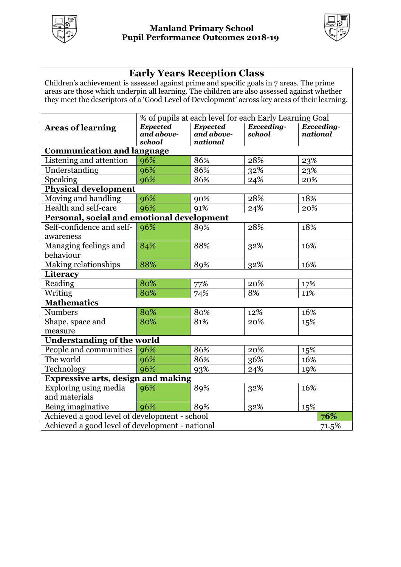



### **Early Years Reception Class**

Children's achievement is assessed against prime and specific goals in 7 areas. The prime areas are those which underpin all learning. The children are also assessed against whether they meet the descriptors of a 'Good Level of Development' across key areas of their learning.

|                                                          | % of pupils at each level for each Early Learning Goal |                 |            |     |                   |  |
|----------------------------------------------------------|--------------------------------------------------------|-----------------|------------|-----|-------------------|--|
| <b>Areas of learning</b>                                 | <b>Expected</b>                                        | <b>Expected</b> | Exceeding- |     | <b>Exceeding-</b> |  |
|                                                          | and above-                                             | and above-      | school     |     | national          |  |
|                                                          | school                                                 | national        |            |     |                   |  |
| <b>Communication and language</b>                        |                                                        |                 |            |     |                   |  |
| Listening and attention                                  | 96%                                                    | 86%             | 28%        | 23% |                   |  |
| Understanding                                            | 96%                                                    | 86%             | $32\%$     | 23% |                   |  |
| Speaking                                                 | 96%                                                    | 86%             | 24%        | 20% |                   |  |
| Physical development                                     |                                                        |                 |            |     |                   |  |
| Moving and handling                                      | 96%                                                    | 90%             | 28%        | 18% |                   |  |
| Health and self-care                                     | 96%                                                    | 91%             | 24%        | 20% |                   |  |
| Personal, social and emotional development               |                                                        |                 |            |     |                   |  |
| Self-confidence and self-                                | 96%                                                    | 89%             | 28%        | 18% |                   |  |
| awareness                                                |                                                        |                 |            |     |                   |  |
| Managing feelings and                                    | 84%                                                    | 88%             | 32%        | 16% |                   |  |
| behaviour                                                |                                                        |                 |            |     |                   |  |
| <b>Making relationships</b>                              | 88%                                                    | 89%             | 32%        | 16% |                   |  |
| Literacy                                                 |                                                        |                 |            |     |                   |  |
| Reading                                                  | 80%                                                    | 77%             | 20%        | 17% |                   |  |
| Writing                                                  | 80%                                                    | 74%             | 8%         | 11% |                   |  |
| <b>Mathematics</b>                                       |                                                        |                 |            |     |                   |  |
| <b>Numbers</b>                                           | 80%                                                    | 80%             | 12%        | 16% |                   |  |
| Shape, space and                                         | 80%                                                    | 81%             | 20%        | 15% |                   |  |
| measure                                                  |                                                        |                 |            |     |                   |  |
| <b>Understanding of the world</b>                        |                                                        |                 |            |     |                   |  |
| People and communities                                   | 96%                                                    | 86%             | 20%        | 15% |                   |  |
| The world                                                | 96%                                                    | 86%             | 36%        | 16% |                   |  |
| Technology                                               | 96%                                                    | 93%             | 24%        | 19% |                   |  |
| <b>Expressive arts, design and making</b>                |                                                        |                 |            |     |                   |  |
| Exploring using media                                    | 96%                                                    | 89%             | 32%        | 16% |                   |  |
| and materials                                            |                                                        |                 |            |     |                   |  |
| Being imaginative                                        | 96%                                                    | 89%             | 32%        | 15% |                   |  |
| Achieved a good level of development - school<br>76%     |                                                        |                 |            |     |                   |  |
| Achieved a good level of development - national<br>71.5% |                                                        |                 |            |     |                   |  |